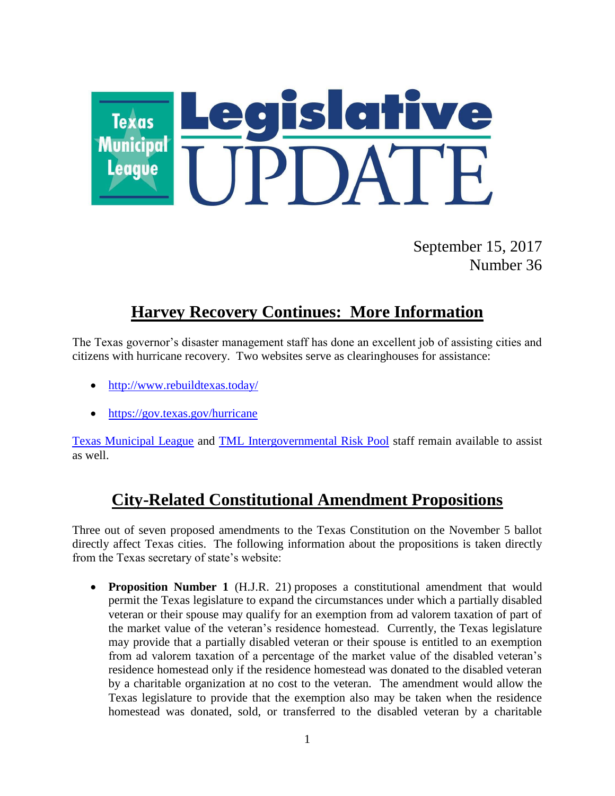

September 15, 2017 Number 36

# **Harvey Recovery Continues: More Information**

The Texas governor's disaster management staff has done an excellent job of assisting cities and citizens with hurricane recovery. Two websites serve as clearinghouses for assistance:

- <http://www.rebuildtexas.today/>
- <https://gov.texas.gov/hurricane>

[Texas Municipal League](https://www.tml.org/) and [TML Intergovernmental Risk Pool](https://www.tmlirp.org/) staff remain available to assist as well.

#### **City-Related Constitutional Amendment Propositions**

Three out of seven proposed amendments to the Texas Constitution on the November 5 ballot directly affect Texas cities. The following information about the propositions is taken directly from the Texas secretary of state's website:

 **Proposition Number 1** (H.J.R. 21) proposes a constitutional amendment that would permit the Texas legislature to expand the circumstances under which a partially disabled veteran or their spouse may qualify for an exemption from ad valorem taxation of part of the market value of the veteran's residence homestead. Currently, the Texas legislature may provide that a partially disabled veteran or their spouse is entitled to an exemption from ad valorem taxation of a percentage of the market value of the disabled veteran's residence homestead only if the residence homestead was donated to the disabled veteran by a charitable organization at no cost to the veteran. The amendment would allow the Texas legislature to provide that the exemption also may be taken when the residence homestead was donated, sold, or transferred to the disabled veteran by a charitable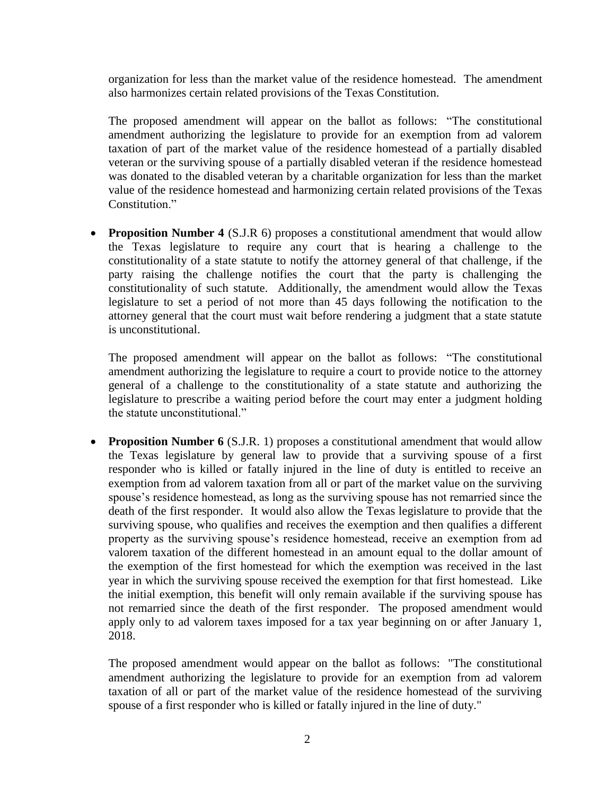organization for less than the market value of the residence homestead. The amendment also harmonizes certain related provisions of the Texas Constitution.

The proposed amendment will appear on the ballot as follows: "The constitutional amendment authorizing the legislature to provide for an exemption from ad valorem taxation of part of the market value of the residence homestead of a partially disabled veteran or the surviving spouse of a partially disabled veteran if the residence homestead was donated to the disabled veteran by a charitable organization for less than the market value of the residence homestead and harmonizing certain related provisions of the Texas Constitution."

• **Proposition Number 4** (S.J.R 6) proposes a constitutional amendment that would allow the Texas legislature to require any court that is hearing a challenge to the constitutionality of a state statute to notify the attorney general of that challenge, if the party raising the challenge notifies the court that the party is challenging the constitutionality of such statute. Additionally, the amendment would allow the Texas legislature to set a period of not more than 45 days following the notification to the attorney general that the court must wait before rendering a judgment that a state statute is unconstitutional.

The proposed amendment will appear on the ballot as follows: "The constitutional amendment authorizing the legislature to require a court to provide notice to the attorney general of a challenge to the constitutionality of a state statute and authorizing the legislature to prescribe a waiting period before the court may enter a judgment holding the statute unconstitutional."

• **Proposition Number 6** (S.J.R. 1) proposes a constitutional amendment that would allow the Texas legislature by general law to provide that a surviving spouse of a first responder who is killed or fatally injured in the line of duty is entitled to receive an exemption from ad valorem taxation from all or part of the market value on the surviving spouse's residence homestead, as long as the surviving spouse has not remarried since the death of the first responder. It would also allow the Texas legislature to provide that the surviving spouse, who qualifies and receives the exemption and then qualifies a different property as the surviving spouse's residence homestead, receive an exemption from ad valorem taxation of the different homestead in an amount equal to the dollar amount of the exemption of the first homestead for which the exemption was received in the last year in which the surviving spouse received the exemption for that first homestead. Like the initial exemption, this benefit will only remain available if the surviving spouse has not remarried since the death of the first responder. The proposed amendment would apply only to ad valorem taxes imposed for a tax year beginning on or after January 1, 2018.

The proposed amendment would appear on the ballot as follows: "The constitutional amendment authorizing the legislature to provide for an exemption from ad valorem taxation of all or part of the market value of the residence homestead of the surviving spouse of a first responder who is killed or fatally injured in the line of duty."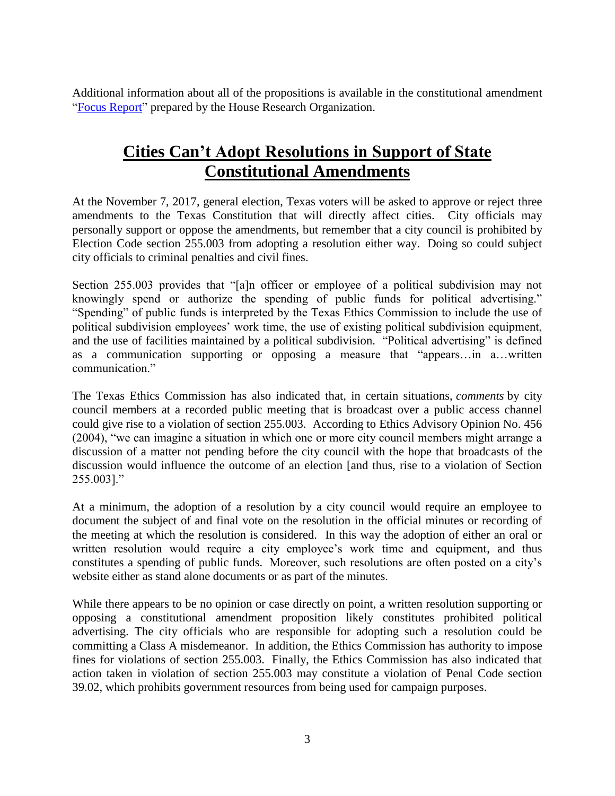Additional information about all of the propositions is available in the constitutional amendment ["Focus Report"](http://www.hro.house.state.tx.us/pdf/focus/amend85.pdf) prepared by the House Research Organization.

### **Cities Can't Adopt Resolutions in Support of State Constitutional Amendments**

At the November 7, 2017, general election, Texas voters will be asked to approve or reject three amendments to the Texas Constitution that will directly affect cities. City officials may personally support or oppose the amendments, but remember that a city council is prohibited by Election Code section 255.003 from adopting a resolution either way. Doing so could subject city officials to criminal penalties and civil fines.

Section 255.003 provides that "[a]n officer or employee of a political subdivision may not knowingly spend or authorize the spending of public funds for political advertising." "Spending" of public funds is interpreted by the Texas Ethics Commission to include the use of political subdivision employees' work time, the use of existing political subdivision equipment, and the use of facilities maintained by a political subdivision. "Political advertising" is defined as a communication supporting or opposing a measure that "appears…in a…written communication."

The Texas Ethics Commission has also indicated that, in certain situations, *comments* by city council members at a recorded public meeting that is broadcast over a public access channel could give rise to a violation of section 255.003. According to Ethics Advisory Opinion No. 456 (2004), "we can imagine a situation in which one or more city council members might arrange a discussion of a matter not pending before the city council with the hope that broadcasts of the discussion would influence the outcome of an election [and thus, rise to a violation of Section 255.003]."

At a minimum, the adoption of a resolution by a city council would require an employee to document the subject of and final vote on the resolution in the official minutes or recording of the meeting at which the resolution is considered. In this way the adoption of either an oral or written resolution would require a city employee's work time and equipment, and thus constitutes a spending of public funds. Moreover, such resolutions are often posted on a city's website either as stand alone documents or as part of the minutes.

While there appears to be no opinion or case directly on point, a written resolution supporting or opposing a constitutional amendment proposition likely constitutes prohibited political advertising. The city officials who are responsible for adopting such a resolution could be committing a Class A misdemeanor. In addition, the Ethics Commission has authority to impose fines for violations of section 255.003. Finally, the Ethics Commission has also indicated that action taken in violation of section 255.003 may constitute a violation of Penal Code section 39.02, which prohibits government resources from being used for campaign purposes.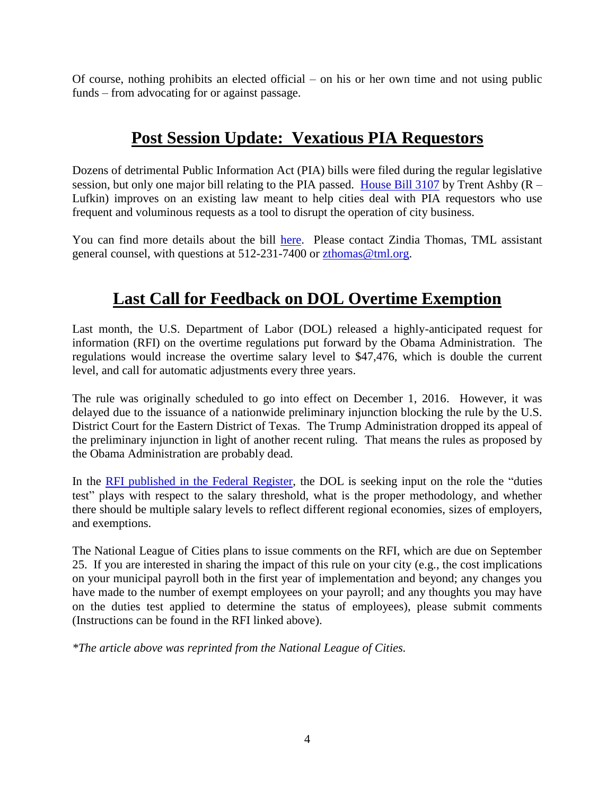Of course, nothing prohibits an elected official – on his or her own time and not using public funds – from advocating for or against passage.

### **Post Session Update: Vexatious PIA Requestors**

Dozens of detrimental Public Information Act (PIA) bills were filed during the regular legislative session, but only one major bill relating to the PIA passed. [House Bill 3107](https://www.tml.org/p/HB03107F.pdf) by Trent Ashby  $(R -$ Lufkin) improves on an existing law meant to help cities deal with PIA requestors who use frequent and voluminous requests as a tool to disrupt the operation of city business.

You can find more details about the bill [here.](https://www.tml.org/p/Vexatious%20requestors%202017%20memo.pdf) Please contact Zindia Thomas, TML assistant general counsel, with questions at 512-231-7400 or [zthomas@tml.org.](mailto:zthomas@tml.org)

# **Last Call for Feedback on DOL Overtime Exemption**

Last month, the U.S. Department of Labor (DOL) released a highly-anticipated request for information (RFI) on the overtime regulations put forward by the Obama Administration. The regulations would increase the overtime salary level to \$47,476, which is double the current level, and call for automatic adjustments every three years.

The rule was originally scheduled to go into effect on December 1, 2016. However, it was delayed due to the issuance of a nationwide preliminary injunction blocking the rule by the U.S. District Court for the Eastern District of Texas. The Trump Administration dropped its appeal of the preliminary injunction in light of another recent ruling. That means the rules as proposed by the Obama Administration are probably dead.

In the [RFI published in the Federal Register,](http://echo4.bluehornet.com/ct/93977556:T7XkyfbN1:m:1:3052221961:D9AF42E489BFB6760F788AC7356CE97B:r) the DOL is seeking input on the role the "duties test" plays with respect to the salary threshold, what is the proper methodology, and whether there should be multiple salary levels to reflect different regional economies, sizes of employers, and exemptions.

The National League of Cities plans to issue comments on the RFI, which are due on September 25. If you are interested in sharing the impact of this rule on your city (e.g., the cost implications on your municipal payroll both in the first year of implementation and beyond; any changes you have made to the number of exempt employees on your payroll; and any thoughts you may have on the duties test applied to determine the status of employees), please submit comments (Instructions can be found in the RFI linked above).

*\*The article above was reprinted from the National League of Cities.*